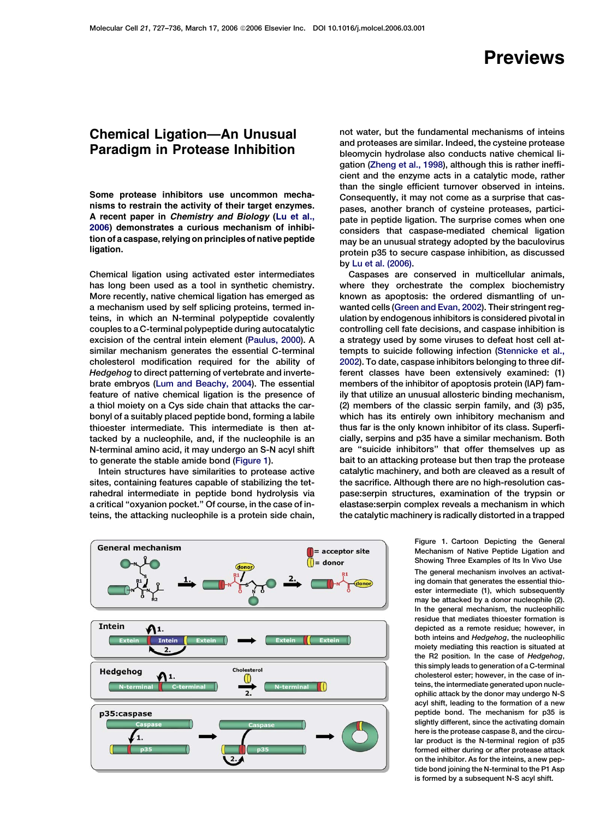## Previews

## <span id="page-0-0"></span>Chemical Ligation—An Unusual Paradigm in Protease Inhibition

Some protease inhibitors use uncommon mechanisms to restrain the activity of their target enzymes. A recent paper in Chemistry and Biology ([Lu et al.,](#page-1-0) [2006](#page-1-0)) demonstrates a curious mechanism of inhibition of a caspase, relying on principles of native peptide ligation.

Chemical ligation using activated ester intermediates has long been used as a tool in synthetic chemistry. More recently, native chemical ligation has emerged as a mechanism used by self splicing proteins, termed inteins, in which an N-terminal polypeptide covalently couples to a C-terminal polypeptide during autocatalytic excision of the central intein element [\(Paulus, 2000\)](#page-1-0). A similar mechanism generates the essential C-terminal cholesterol modification required for the ability of Hedgehog to direct patterning of vertebrate and invertebrate embryos ([Lum and Beachy, 2004\)](#page-1-0). The essential feature of native chemical ligation is the presence of a thiol moiety on a Cys side chain that attacks the carbonyl of a suitably placed peptide bond, forming a labile thioester intermediate. This intermediate is then attacked by a nucleophile, and, if the nucleophile is an N-terminal amino acid, it may undergo an S-N acyl shift to generate the stable amide bond (Figure 1).

Intein structures have similarities to protease active sites, containing features capable of stabilizing the tetrahedral intermediate in peptide bond hydrolysis via a critical ''oxyanion pocket.'' Of course, in the case of inteins, the attacking nucleophile is a protein side chain,



not water, but the fundamental mechanisms of inteins and proteases are similar. Indeed, the cysteine protease bleomycin hydrolase also conducts native chemical ligation ([Zheng et al., 1998](#page-1-0)), although this is rather inefficient and the enzyme acts in a catalytic mode, rather than the single efficient turnover observed in inteins. Consequently, it may not come as a surprise that caspases, another branch of cysteine proteases, participate in peptide ligation. The surprise comes when one considers that caspase-mediated chemical ligation may be an unusual strategy adopted by the baculovirus protein p35 to secure caspase inhibition, as discussed by [Lu et al. \(2006\).](#page-1-0)

Caspases are conserved in multicellular animals, where they orchestrate the complex biochemistry known as apoptosis: the ordered dismantling of unwanted cells [\(Green and Evan, 2002](#page-1-0)). Their stringent regulation by endogenous inhibitors is considered pivotal in controlling cell fate decisions, and caspase inhibition is a strategy used by some viruses to defeat host cell attempts to suicide following infection ([Stennicke et al.,](#page-1-0) [2002\)](#page-1-0). To date, caspase inhibitors belonging to three different classes have been extensively examined: (1) members of the inhibitor of apoptosis protein (IAP) family that utilize an unusual allosteric binding mechanism, (2) members of the classic serpin family, and (3) p35, which has its entirely own inhibitory mechanism and thus far is the only known inhibitor of its class. Superficially, serpins and p35 have a similar mechanism. Both are ''suicide inhibitors'' that offer themselves up as bait to an attacking protease but then trap the protease catalytic machinery, and both are cleaved as a result of the sacrifice. Although there are no high-resolution caspase:serpin structures, examination of the trypsin or elastase:serpin complex reveals a mechanism in which the catalytic machinery is radically distorted in a trapped

> Figure 1. Cartoon Depicting the General Mechanism of Native Peptide Ligation and Showing Three Examples of Its In Vivo Use The general mechanism involves an activating domain that generates the essential thioester intermediate (1), which subsequently may be attacked by a donor nucleophile (2). In the general mechanism, the nucleophilic residue that mediates thioester formation is depicted as a remote residue; however, in both inteins and Hedgehog, the nucleophilic moiety mediating this reaction is situated at the R2 position. In the case of Hedgehog, this simply leads to generation of a C-terminal cholesterol ester; however, in the case of inteins, the intermediate generated upon nucleophilic attack by the donor may undergo N-S acyl shift, leading to the formation of a new peptide bond. The mechanism for p35 is slightly different, since the activating domain here is the protease caspase 8, and the circular product is the N-terminal region of p35 formed either during or after protease attack on the inhibitor. As for the inteins, a new peptide bond joining the N-terminal to the P1 Asp is formed by a subsequent N-S acyl shift.